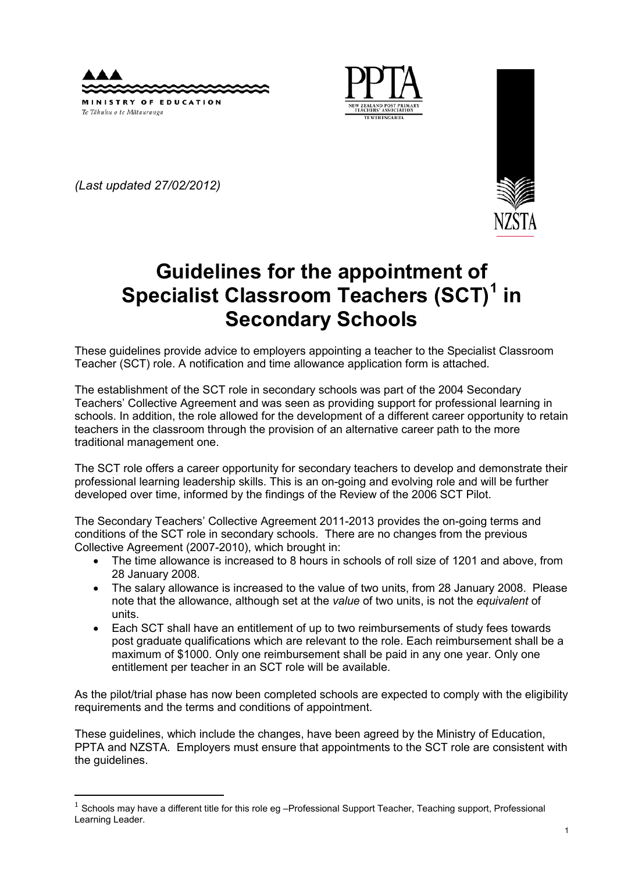



*(Last updated 27/02/2012)* 

-



# **Guidelines for the appointment of Specialist Classroom Teachers (SCT)[1](#page-0-0) in Secondary Schools**

These guidelines provide advice to employers appointing a teacher to the Specialist Classroom Teacher (SCT) role. A notification and time allowance application form is attached.

The establishment of the SCT role in secondary schools was part of the 2004 Secondary Teachers' Collective Agreement and was seen as providing support for professional learning in schools. In addition, the role allowed for the development of a different career opportunity to retain teachers in the classroom through the provision of an alternative career path to the more traditional management one.

The SCT role offers a career opportunity for secondary teachers to develop and demonstrate their professional learning leadership skills. This is an on-going and evolving role and will be further developed over time, informed by the findings of the Review of the 2006 SCT Pilot.

The Secondary Teachers' Collective Agreement 2011-2013 provides the on-going terms and conditions of the SCT role in secondary schools. There are no changes from the previous Collective Agreement (2007-2010), which brought in:

- The time allowance is increased to 8 hours in schools of roll size of 1201 and above, from 28 January 2008.
- The salary allowance is increased to the value of two units, from 28 January 2008. Please note that the allowance, although set at the *value* of two units, is not the *equivalent* of units.
- Each SCT shall have an entitlement of up to two reimbursements of study fees towards post graduate qualifications which are relevant to the role. Each reimbursement shall be a maximum of \$1000. Only one reimbursement shall be paid in any one year. Only one entitlement per teacher in an SCT role will be available.

As the pilot/trial phase has now been completed schools are expected to comply with the eligibility requirements and the terms and conditions of appointment.

These guidelines, which include the changes, have been agreed by the Ministry of Education, PPTA and NZSTA. Employers must ensure that appointments to the SCT role are consistent with the guidelines.

<span id="page-0-0"></span> $1$  Schools may have a different title for this role eg -Professional Support Teacher, Teaching support, Professional Learning Leader.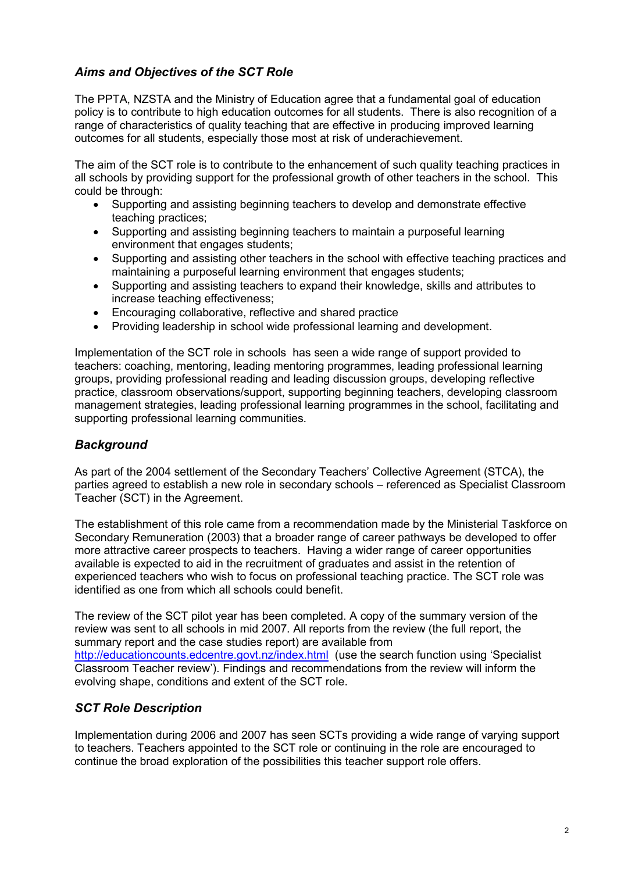# *Aims and Objectives of the SCT Role*

The PPTA, NZSTA and the Ministry of Education agree that a fundamental goal of education policy is to contribute to high education outcomes for all students. There is also recognition of a range of characteristics of quality teaching that are effective in producing improved learning outcomes for all students, especially those most at risk of underachievement.

The aim of the SCT role is to contribute to the enhancement of such quality teaching practices in all schools by providing support for the professional growth of other teachers in the school. This could be through:

- Supporting and assisting beginning teachers to develop and demonstrate effective teaching practices;
- Supporting and assisting beginning teachers to maintain a purposeful learning environment that engages students;
- Supporting and assisting other teachers in the school with effective teaching practices and maintaining a purposeful learning environment that engages students;
- Supporting and assisting teachers to expand their knowledge, skills and attributes to increase teaching effectiveness;
- Encouraging collaborative, reflective and shared practice
- Providing leadership in school wide professional learning and development.

Implementation of the SCT role in schools has seen a wide range of support provided to teachers: coaching, mentoring, leading mentoring programmes, leading professional learning groups, providing professional reading and leading discussion groups, developing reflective practice, classroom observations/support, supporting beginning teachers, developing classroom management strategies, leading professional learning programmes in the school, facilitating and supporting professional learning communities.

# *Background*

As part of the 2004 settlement of the Secondary Teachers' Collective Agreement (STCA), the parties agreed to establish a new role in secondary schools – referenced as Specialist Classroom Teacher (SCT) in the Agreement.

The establishment of this role came from a recommendation made by the Ministerial Taskforce on Secondary Remuneration (2003) that a broader range of career pathways be developed to offer more attractive career prospects to teachers. Having a wider range of career opportunities available is expected to aid in the recruitment of graduates and assist in the retention of experienced teachers who wish to focus on professional teaching practice. The SCT role was identified as one from which all schools could benefit.

The review of the SCT pilot year has been completed. A copy of the summary version of the review was sent to all schools in mid 2007. All reports from the review (the full report, the summary report and the case studies report) are available from <http://educationcounts.edcentre.govt.nz/index.html>(use the search function using 'Specialist Classroom Teacher review'). Findings and recommendations from the review will inform the evolving shape, conditions and extent of the SCT role.

# *SCT Role Description*

Implementation during 2006 and 2007 has seen SCTs providing a wide range of varying support to teachers. Teachers appointed to the SCT role or continuing in the role are encouraged to continue the broad exploration of the possibilities this teacher support role offers.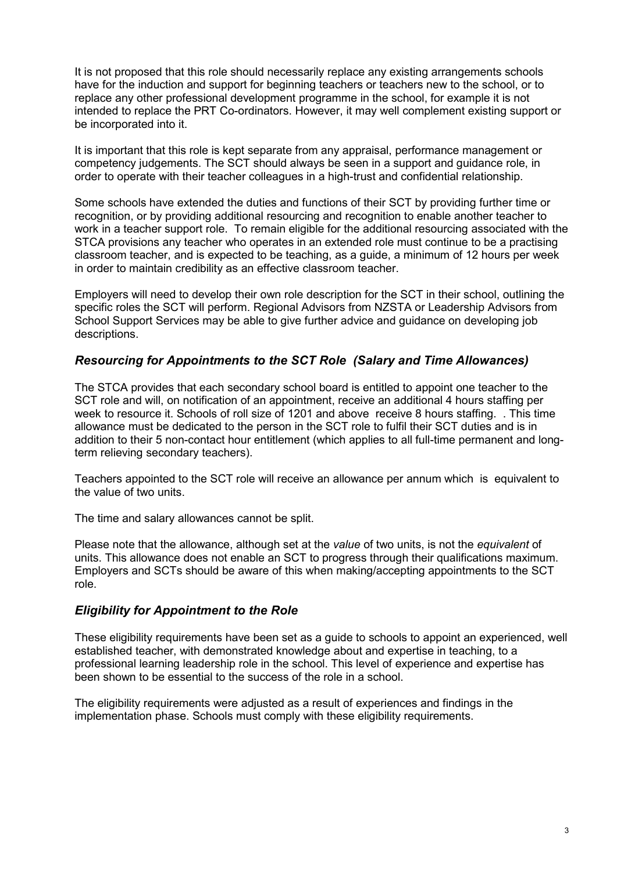It is not proposed that this role should necessarily replace any existing arrangements schools have for the induction and support for beginning teachers or teachers new to the school, or to replace any other professional development programme in the school, for example it is not intended to replace the PRT Co-ordinators. However, it may well complement existing support or be incorporated into it.

It is important that this role is kept separate from any appraisal, performance management or competency judgements. The SCT should always be seen in a support and guidance role, in order to operate with their teacher colleagues in a high-trust and confidential relationship.

Some schools have extended the duties and functions of their SCT by providing further time or recognition, or by providing additional resourcing and recognition to enable another teacher to work in a teacher support role. To remain eligible for the additional resourcing associated with the STCA provisions any teacher who operates in an extended role must continue to be a practising classroom teacher, and is expected to be teaching, as a guide, a minimum of 12 hours per week in order to maintain credibility as an effective classroom teacher.

Employers will need to develop their own role description for the SCT in their school, outlining the specific roles the SCT will perform. Regional Advisors from NZSTA or Leadership Advisors from School Support Services may be able to give further advice and guidance on developing job descriptions.

# *Resourcing for Appointments to the SCT Role (Salary and Time Allowances)*

The STCA provides that each secondary school board is entitled to appoint one teacher to the SCT role and will, on notification of an appointment, receive an additional 4 hours staffing per week to resource it. Schools of roll size of 1201 and above receive 8 hours staffing. . This time allowance must be dedicated to the person in the SCT role to fulfil their SCT duties and is in addition to their 5 non-contact hour entitlement (which applies to all full-time permanent and longterm relieving secondary teachers).

Teachers appointed to the SCT role will receive an allowance per annum which is equivalent to the value of two units.

The time and salary allowances cannot be split.

Please note that the allowance, although set at the *value* of two units, is not the *equivalent* of units. This allowance does not enable an SCT to progress through their qualifications maximum. Employers and SCTs should be aware of this when making/accepting appointments to the SCT role.

# *Eligibility for Appointment to the Role*

These eligibility requirements have been set as a guide to schools to appoint an experienced, well established teacher, with demonstrated knowledge about and expertise in teaching, to a professional learning leadership role in the school. This level of experience and expertise has been shown to be essential to the success of the role in a school.

The eligibility requirements were adjusted as a result of experiences and findings in the implementation phase. Schools must comply with these eligibility requirements.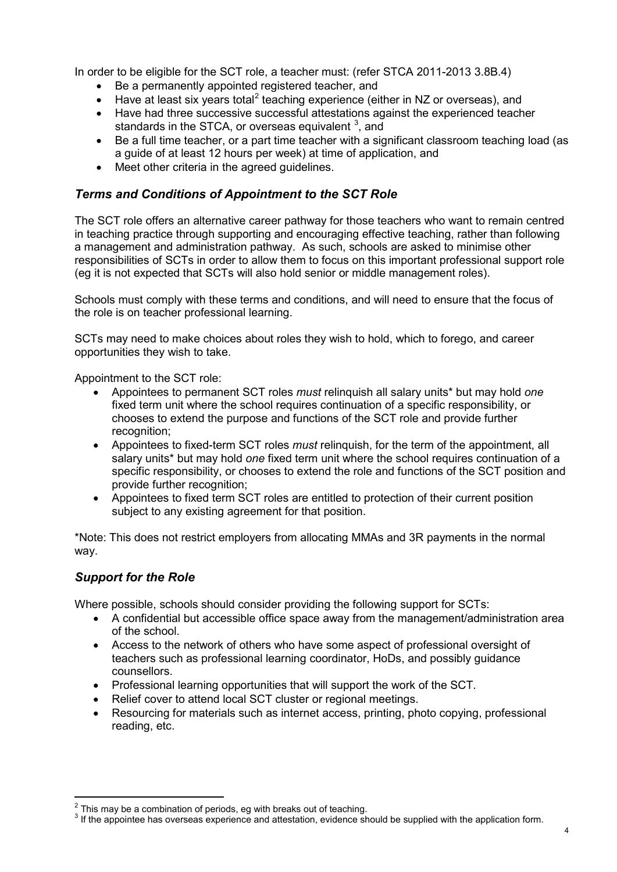In order to be eligible for the SCT role, a teacher must: (refer STCA 2011-2013 3.8B.4)

- Be a permanently appointed registered teacher, and
- Have at least six years total<sup>[2](#page-3-0)</sup> teaching experience (either in NZ or overseas), and
- Have had three successive successful attestations against the experienced teacher standards in the STCA, or overseas equivalent  $3$ , and
- Be a full time teacher, or a part time teacher with a significant classroom teaching load (as a guide of at least 12 hours per week) at time of application, and
- Meet other criteria in the agreed guidelines.

# *Terms and Conditions of Appointment to the SCT Role*

The SCT role offers an alternative career pathway for those teachers who want to remain centred in teaching practice through supporting and encouraging effective teaching, rather than following a management and administration pathway. As such, schools are asked to minimise other responsibilities of SCTs in order to allow them to focus on this important professional support role (eg it is not expected that SCTs will also hold senior or middle management roles).

Schools must comply with these terms and conditions, and will need to ensure that the focus of the role is on teacher professional learning.

SCTs may need to make choices about roles they wish to hold, which to forego, and career opportunities they wish to take.

Appointment to the SCT role:

- Appointees to permanent SCT roles *must* relinquish all salary units\* but may hold *one* fixed term unit where the school requires continuation of a specific responsibility, or chooses to extend the purpose and functions of the SCT role and provide further recognition:
- Appointees to fixed-term SCT roles *must* relinquish, for the term of the appointment, all salary units\* but may hold *one* fixed term unit where the school requires continuation of a specific responsibility, or chooses to extend the role and functions of the SCT position and provide further recognition;
- Appointees to fixed term SCT roles are entitled to protection of their current position subject to any existing agreement for that position.

\*Note: This does not restrict employers from allocating MMAs and 3R payments in the normal way.

#### *Support for the Role*

Where possible, schools should consider providing the following support for SCTs:

- A confidential but accessible office space away from the management/administration area of the school.
- Access to the network of others who have some aspect of professional oversight of teachers such as professional learning coordinator, HoDs, and possibly guidance counsellors.
- Professional learning opportunities that will support the work of the SCT.
- Relief cover to attend local SCT cluster or regional meetings.
- Resourcing for materials such as internet access, printing, photo copying, professional reading, etc.

<span id="page-3-0"></span> $2$  This mav be a combination of periods, eg with breaks out of teaching.

<span id="page-3-1"></span><sup>&</sup>lt;sup>3</sup> If the appointee has overseas experience and attestation, evidence should be supplied with the application form.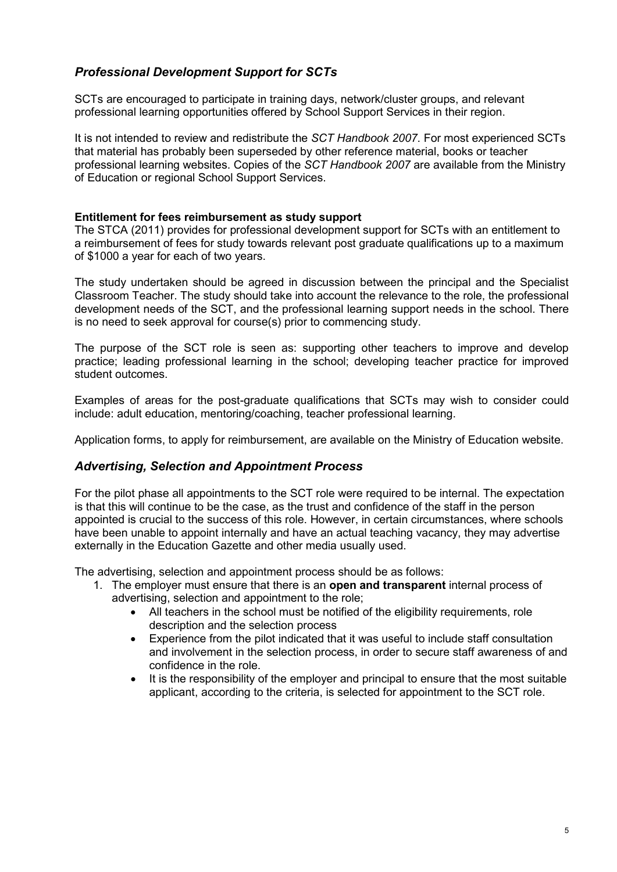# *Professional Development Support for SCTs*

SCTs are encouraged to participate in training days, network/cluster groups, and relevant professional learning opportunities offered by School Support Services in their region.

It is not intended to review and redistribute the *SCT Handbook 2007*. For most experienced SCTs that material has probably been superseded by other reference material, books or teacher professional learning websites. Copies of the *SCT Handbook 2007* are available from the Ministry of Education or regional School Support Services.

#### **Entitlement for fees reimbursement as study support**

The STCA (2011) provides for professional development support for SCTs with an entitlement to a reimbursement of fees for study towards relevant post graduate qualifications up to a maximum of \$1000 a year for each of two years.

The study undertaken should be agreed in discussion between the principal and the Specialist Classroom Teacher. The study should take into account the relevance to the role, the professional development needs of the SCT, and the professional learning support needs in the school. There is no need to seek approval for course(s) prior to commencing study.

The purpose of the SCT role is seen as: supporting other teachers to improve and develop practice; leading professional learning in the school; developing teacher practice for improved student outcomes.

Examples of areas for the post-graduate qualifications that SCTs may wish to consider could include: adult education, mentoring/coaching, teacher professional learning.

Application forms, to apply for reimbursement, are available on the Ministry of Education website.

# *Advertising, Selection and Appointment Process*

For the pilot phase all appointments to the SCT role were required to be internal. The expectation is that this will continue to be the case, as the trust and confidence of the staff in the person appointed is crucial to the success of this role. However, in certain circumstances, where schools have been unable to appoint internally and have an actual teaching vacancy, they may advertise externally in the Education Gazette and other media usually used.

The advertising, selection and appointment process should be as follows:

- 1. The employer must ensure that there is an **open and transparent** internal process of advertising, selection and appointment to the role;
	- All teachers in the school must be notified of the eligibility requirements, role description and the selection process
	- Experience from the pilot indicated that it was useful to include staff consultation and involvement in the selection process, in order to secure staff awareness of and confidence in the role.
	- It is the responsibility of the employer and principal to ensure that the most suitable applicant, according to the criteria, is selected for appointment to the SCT role.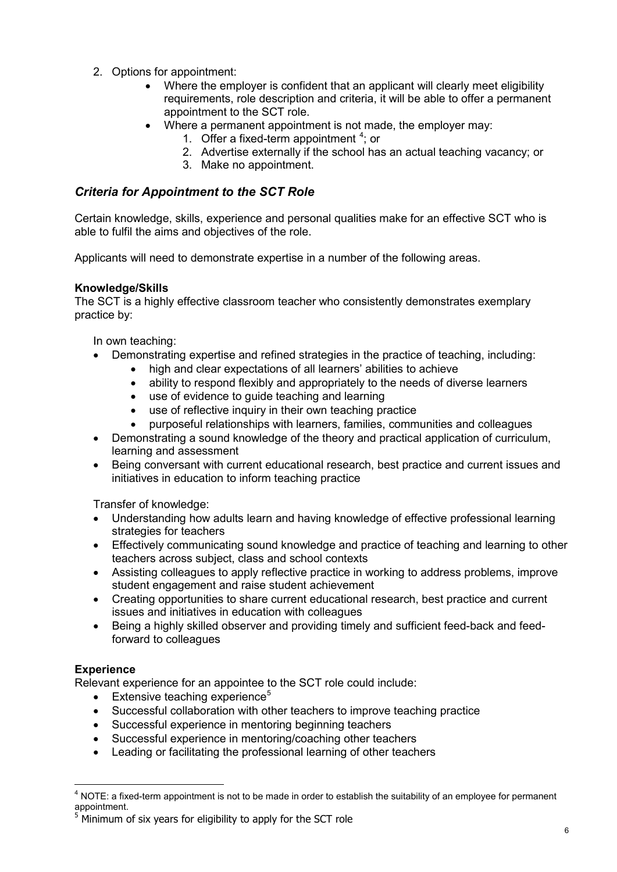- 2. Options for appointment:
	- Where the employer is confident that an applicant will clearly meet eligibility requirements, role description and criteria, it will be able to offer a permanent appointment to the SCT role.
	- Where a permanent appointment is not made, the employer may:
		- 1. Offer a fixed-term appointment  $4$ ; or
			- 2. Advertise externally if the school has an actual teaching vacancy; or
			- 3. Make no appointment.

# *Criteria for Appointment to the SCT Role*

Certain knowledge, skills, experience and personal qualities make for an effective SCT who is able to fulfil the aims and objectives of the role.

Applicants will need to demonstrate expertise in a number of the following areas.

#### **Knowledge/Skills**

The SCT is a highly effective classroom teacher who consistently demonstrates exemplary practice by:

In own teaching:

- Demonstrating expertise and refined strategies in the practice of teaching, including:
	- high and clear expectations of all learners' abilities to achieve
	- ability to respond flexibly and appropriately to the needs of diverse learners
	- use of evidence to guide teaching and learning
	- use of reflective inquiry in their own teaching practice
	- purposeful relationships with learners, families, communities and colleagues
- Demonstrating a sound knowledge of the theory and practical application of curriculum, learning and assessment
- Being conversant with current educational research, best practice and current issues and initiatives in education to inform teaching practice

Transfer of knowledge:

- Understanding how adults learn and having knowledge of effective professional learning strategies for teachers
- Effectively communicating sound knowledge and practice of teaching and learning to other teachers across subject, class and school contexts
- Assisting colleagues to apply reflective practice in working to address problems, improve student engagement and raise student achievement
- Creating opportunities to share current educational research, best practice and current issues and initiatives in education with colleagues
- Being a highly skilled observer and providing timely and sufficient feed-back and feedforward to colleagues

# **Experience**

-

Relevant experience for an appointee to the SCT role could include:

- $\bullet$  Extensive teaching experience<sup>[5](#page-5-1)</sup>
- Successful collaboration with other teachers to improve teaching practice
- Successful experience in mentoring beginning teachers
- Successful experience in mentoring/coaching other teachers
- Leading or facilitating the professional learning of other teachers

<span id="page-5-0"></span><sup>&</sup>lt;sup>4</sup> NOTE: a fixed-term appointment is not to be made in order to establish the suitability of an employee for permanent appointment.

<span id="page-5-1"></span> $5$  Minimum of six years for eligibility to apply for the SCT role